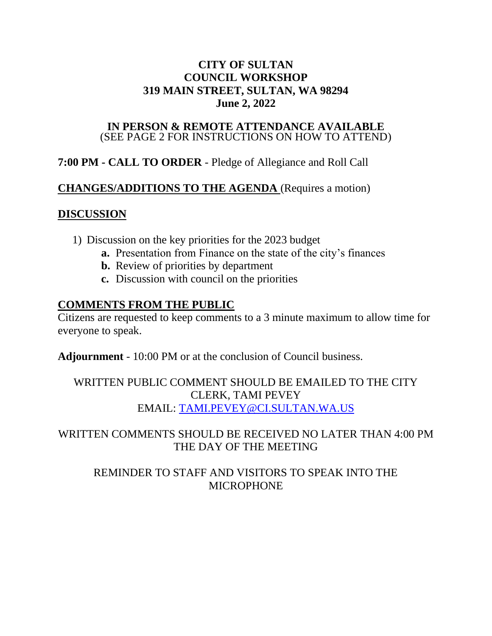## **CITY OF SULTAN COUNCIL WORKSHOP 319 MAIN STREET, SULTAN, WA 98294 June 2, 2022**

### **IN PERSON & REMOTE ATTENDANCE AVAILABLE** (SEE PAGE 2 FOR INSTRUCTIONS ON HOW TO ATTEND)

# **7:00 PM - CALL TO ORDER** - Pledge of Allegiance and Roll Call

## **CHANGES/ADDITIONS TO THE AGENDA** (Requires a motion)

## **DISCUSSION**

- 1) Discussion on the key priorities for the 2023 budget
	- **a.** Presentation from Finance on the state of the city's finances
	- **b.** Review of priorities by department
	- **c.** Discussion with council on the priorities

# **COMMENTS FROM THE PUBLIC**

Citizens are requested to keep comments to a 3 minute maximum to allow time for everyone to speak.

**Adjournment** - 10:00 PM or at the conclusion of Council business.

WRITTEN PUBLIC COMMENT SHOULD BE EMAILED TO THE CITY CLERK, TAMI PEVEY EMAIL: [TAMI.PEVEY@CI.SULTAN.WA.US](mailto:TAMI.PEVEY@CI.SULTAN.WA.US)

# WRITTEN COMMENTS SHOULD BE RECEIVED NO LATER THAN 4:00 PM THE DAY OF THE MEETING

# REMINDER TO STAFF AND VISITORS TO SPEAK INTO THE MICROPHONE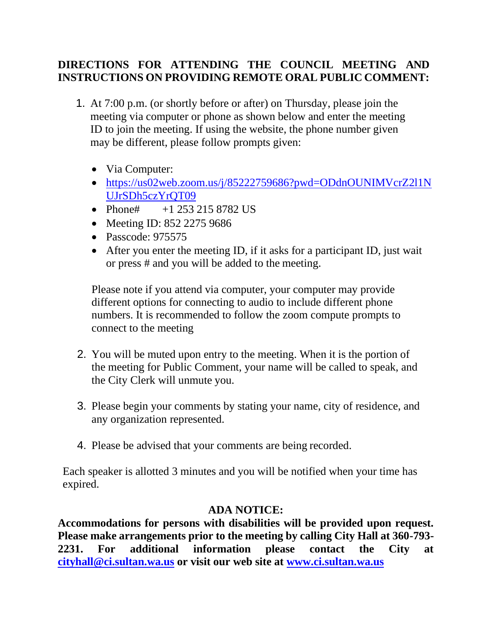# **DIRECTIONS FOR ATTENDING THE COUNCIL MEETING AND INSTRUCTIONS ON PROVIDING REMOTE ORAL PUBLIC COMMENT:**

- 1. At 7:00 p.m. (or shortly before or after) on Thursday, please join the meeting via computer or phone as shown below and enter the meeting ID to join the meeting. If using the website, the phone number given may be different, please follow prompts given:
	- Via Computer:
	- [https://us02web.zoom.us/j/85222759686?pwd=ODdnOUNIMVcrZ2l1N](https://us02web.zoom.us/j/85222759686?pwd=ODdnOUNIMVcrZ2l1NUJrSDh5czYrQT09) [UJrSDh5czYrQT09](https://us02web.zoom.us/j/85222759686?pwd=ODdnOUNIMVcrZ2l1NUJrSDh5czYrQT09)
	- Phone#  $+1, 253, 215, 8782$  US
	- Meeting ID: 852 2275 9686
	- Passcode: 975575
	- After you enter the meeting ID, if it asks for a participant ID, just wait or press # and you will be added to the meeting.

Please note if you attend via computer, your computer may provide different options for connecting to audio to include different phone numbers. It is recommended to follow the zoom compute prompts to connect to the meeting

- 2. You will be muted upon entry to the meeting. When it is the portion of the meeting for Public Comment, your name will be called to speak, and the City Clerk will unmute you.
- 3. Please begin your comments by stating your name, city of residence, and any organization represented.
- 4. Please be advised that your comments are being recorded.

Each speaker is allotted 3 minutes and you will be notified when your time has expired.

# **ADA NOTICE:**

**Accommodations for persons with disabilities will be provided upon request. Please make arrangements prior to the meeting by calling City Hall at 360-793- 2231. For additional information please contact the City at [cityhall@ci.sultan.wa.us](mailto:cityhall@ci.sultan.wa.us) or visit our web site at [www.ci.sultan.wa.us](http://www.ci.sultan.wa.us/)**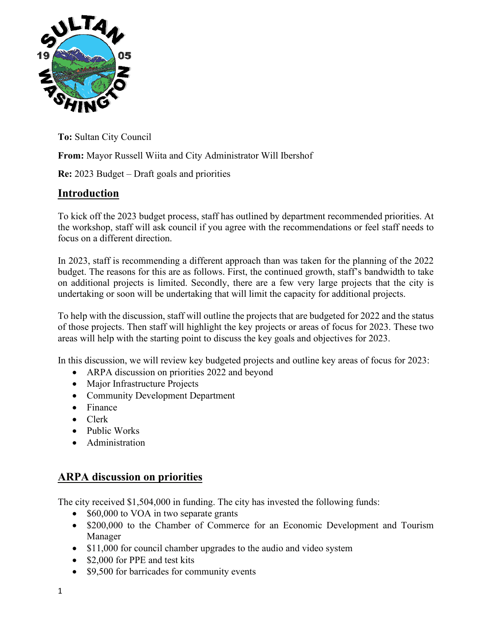

**To:** Sultan City Council

**From:** Mayor Russell Wiita and City Administrator Will Ibershof

**Re:** 2023 Budget – Draft goals and priorities

## **Introduction**

To kick off the 2023 budget process, staff has outlined by department recommended priorities. At the workshop, staff will ask council if you agree with the recommendations or feel staff needs to focus on a different direction.

In 2023, staff is recommending a different approach than was taken for the planning of the 2022 budget. The reasons for this are as follows. First, the continued growth, staff's bandwidth to take on additional projects is limited. Secondly, there are a few very large projects that the city is undertaking or soon will be undertaking that will limit the capacity for additional projects.

To help with the discussion, staff will outline the projects that are budgeted for 2022 and the status of those projects. Then staff will highlight the key projects or areas of focus for 2023. These two areas will help with the starting point to discuss the key goals and objectives for 2023.

In this discussion, we will review key budgeted projects and outline key areas of focus for 2023:

- ARPA discussion on priorities 2022 and beyond
- Major Infrastructure Projects
- Community Development Department
- Finance
- Clerk
- Public Works
- Administration

### **ARPA discussion on priorities**

The city received \$1,504,000 in funding. The city has invested the following funds:

- \$60,000 to VOA in two separate grants
- \$200,000 to the Chamber of Commerce for an Economic Development and Tourism Manager
- \$11,000 for council chamber upgrades to the audio and video system
- \$2,000 for PPE and test kits
- \$9,500 for barricades for community events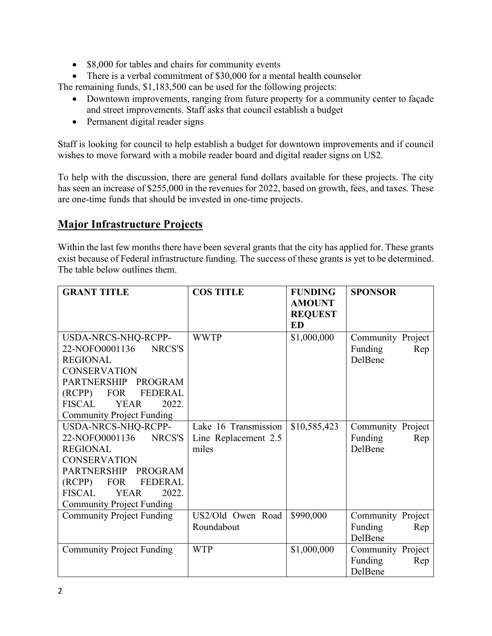- \$8,000 for tables and chairs for community events
- There is a verbal commitment of \$30,000 for a mental health counselor

The remaining funds, \$1,183,500 can be used for the following projects:

- Downtown improvements, ranging from future property for a community center to façade and street improvements. Staff asks that council establish a budget
- Permanent digital reader signs

Staff is looking for council to help establish a budget for downtown improvements and if council wishes to move forward with a mobile reader board and digital reader signs on US2.

To help with the discussion, there are general fund dollars available for these projects. The city has seen an increase of \$255,000 in the revenues for 2022, based on growth, fees, and taxes. These are one-time funds that should be invested in one-time projects.

## **Major Infrastructure Projects**

Within the last few months there have been several grants that the city has applied for. These grants exist because of Federal infrastructure funding. The success of these grants is yet to be determined. The table below outlines them.

| <b>GRANT TITLE</b>                     | <b>COS TITLE</b>     | <b>FUNDING</b> | <b>SPONSOR</b>    |
|----------------------------------------|----------------------|----------------|-------------------|
|                                        |                      | <b>AMOUNT</b>  |                   |
|                                        |                      | <b>REQUEST</b> |                   |
|                                        |                      | <b>ED</b>      |                   |
| USDA-NRCS-NHQ-RCPP-                    | <b>WWTP</b>          | \$1,000,000    | Community Project |
| 22-NOFO0001136<br>NRCS'S               |                      |                | Funding<br>Rep    |
| <b>REGIONAL</b>                        |                      |                | DelBene           |
| <b>CONSERVATION</b>                    |                      |                |                   |
| <b>PARTNERSHIP</b><br><b>PROGRAM</b>   |                      |                |                   |
| (RCPP) FOR<br><b>FEDERAL</b>           |                      |                |                   |
| <b>FISCAL</b><br><b>YEAR</b><br>2022.  |                      |                |                   |
| <b>Community Project Funding</b>       |                      |                |                   |
| USDA-NRCS-NHQ-RCPP-                    | Lake 16 Transmission | \$10,585,423   | Community Project |
| 22-NOFO0001136 NRCS'S                  | Line Replacement 2.5 |                | Funding<br>Rep    |
| <b>REGIONAL</b>                        | miles                |                | DelBene           |
| <b>CONSERVATION</b>                    |                      |                |                   |
| <b>PARTNERSHIP</b><br>PROGRAM          |                      |                |                   |
| (RCPP)<br><b>FOR</b><br><b>FEDERAL</b> |                      |                |                   |
| <b>FISCAL</b><br><b>YEAR</b><br>2022.  |                      |                |                   |
| <b>Community Project Funding</b>       |                      |                |                   |
| <b>Community Project Funding</b>       | US2/Old Owen Road    | \$990,000      | Community Project |
|                                        | Roundabout           |                | Funding<br>Rep    |
|                                        |                      |                | DelBene           |
| <b>Community Project Funding</b>       | <b>WTP</b>           | \$1,000,000    | Community Project |
|                                        |                      |                | Funding<br>Rep    |
|                                        |                      |                | DelBene           |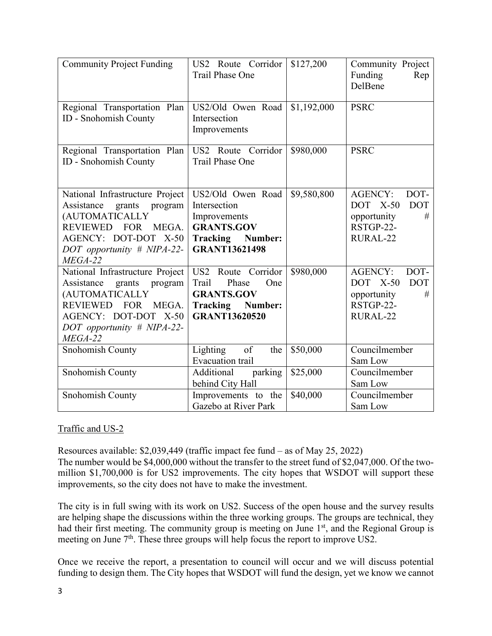| <b>Community Project Funding</b>                                                                                                                                                               | US2 Route Corridor<br><b>Trail Phase One</b>                                                                          | \$127,200   | Community Project<br>Funding<br>Rep<br>DelBene                                                  |
|------------------------------------------------------------------------------------------------------------------------------------------------------------------------------------------------|-----------------------------------------------------------------------------------------------------------------------|-------------|-------------------------------------------------------------------------------------------------|
| Regional Transportation Plan<br><b>ID</b> - Snohomish County                                                                                                                                   | US2/Old Owen Road<br>Intersection<br>Improvements                                                                     | \$1,192,000 | <b>PSRC</b>                                                                                     |
| Regional Transportation Plan<br>ID - Snohomish County                                                                                                                                          | US2 Route Corridor<br>Trail Phase One                                                                                 | \$980,000   | <b>PSRC</b>                                                                                     |
| National Infrastructure Project<br>Assistance<br>grants<br>program<br>(AUTOMATICALLY<br>REVIEWED FOR<br>MEGA.<br>AGENCY: DOT-DOT X-50<br>DOT opportunity # NIPA-22-<br>$MEGA-22$               | US2/Old Owen Road<br>Intersection<br>Improvements<br><b>GRANTS.GOV</b><br>Tracking<br>Number:<br><b>GRANT13621498</b> | \$9,580,800 | DOT-<br><b>AGENCY:</b><br><b>DOT</b><br>$DOT$ X-50<br>#<br>opportunity<br>RSTGP-22-<br>RURAL-22 |
| National Infrastructure Project<br>Assistance<br>grants program<br>(AUTOMATICALLY<br><b>REVIEWED</b><br><b>FOR</b><br>MEGA.<br>AGENCY: DOT-DOT X-50<br>$DOT$ opportunity # NIPA-22-<br>MEGA-22 | US2 Route Corridor<br>Phase<br>One<br>Trail<br><b>GRANTS.GOV</b><br>Tracking<br>Number:<br><b>GRANT13620520</b>       | \$980,000   | <b>AGENCY:</b><br>DOT-<br>DOT X-50<br><b>DOT</b><br>opportunity<br>#<br>RSTGP-22-<br>RURAL-22   |
| Snohomish County                                                                                                                                                                               | Lighting<br>of<br>the<br>Evacuation trail                                                                             | \$50,000    | Councilmember<br>Sam Low                                                                        |
| Snohomish County                                                                                                                                                                               | Additional<br>parking<br>behind City Hall                                                                             | \$25,000    | Councilmember<br>Sam Low                                                                        |
| Snohomish County                                                                                                                                                                               | Improvements to the<br>Gazebo at River Park                                                                           | \$40,000    | Councilmember<br>Sam Low                                                                        |

### Traffic and US-2

Resources available: \$2,039,449 (traffic impact fee fund – as of May 25, 2022)

The number would be \$4,000,000 without the transfer to the street fund of \$2,047,000. Of the twomillion \$1,700,000 is for US2 improvements. The city hopes that WSDOT will support these improvements, so the city does not have to make the investment.

The city is in full swing with its work on US2. Success of the open house and the survey results are helping shape the discussions within the three working groups. The groups are technical, they had their first meeting. The community group is meeting on June 1<sup>st</sup>, and the Regional Group is meeting on June 7<sup>th</sup>. These three groups will help focus the report to improve US2.

Once we receive the report, a presentation to council will occur and we will discuss potential funding to design them. The City hopes that WSDOT will fund the design, yet we know we cannot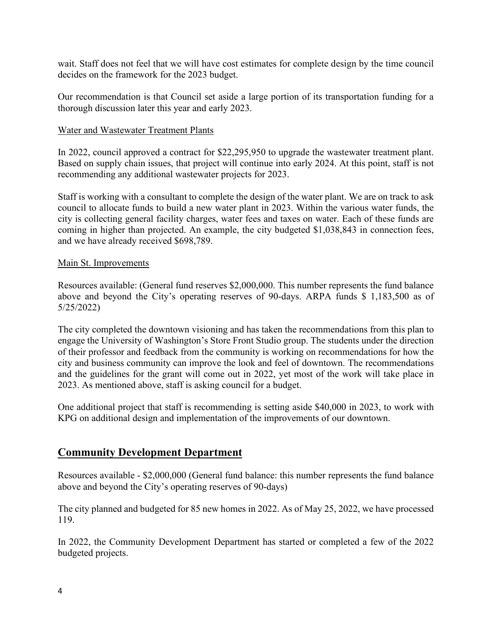wait. Staff does not feel that we will have cost estimates for complete design by the time council decides on the framework for the 2023 budget.

Our recommendation is that Council set aside a large portion of its transportation funding for a thorough discussion later this year and early 2023.

#### Water and Wastewater Treatment Plants

In 2022, council approved a contract for \$22,295,950 to upgrade the wastewater treatment plant. Based on supply chain issues, that project will continue into early 2024. At this point, staff is not recommending any additional wastewater projects for 2023.

Staff is working with a consultant to complete the design of the water plant. We are on track to ask council to allocate funds to build a new water plant in 2023. Within the various water funds, the city is collecting general facility charges, water fees and taxes on water. Each of these funds are coming in higher than projected. An example, the city budgeted \$1,038,843 in connection fees, and we have already received \$698,789.

#### Main St. Improvements

Resources available: (General fund reserves \$2,000,000. This number represents the fund balance above and beyond the City's operating reserves of 90-days. ARPA funds \$ 1,183,500 as of 5/25/2022)

The city completed the downtown visioning and has taken the recommendations from this plan to engage the University of Washington's Store Front Studio group. The students under the direction of their professor and feedback from the community is working on recommendations for how the city and business community can improve the look and feel of downtown. The recommendations and the guidelines for the grant will come out in 2022, yet most of the work will take place in 2023. As mentioned above, staff is asking council for a budget.

One additional project that staff is recommending is setting aside \$40,000 in 2023, to work with KPG on additional design and implementation of the improvements of our downtown.

### **Community Development Department**

Resources available - \$2,000,000 (General fund balance: this number represents the fund balance above and beyond the City's operating reserves of 90-days)

The city planned and budgeted for 85 new homes in 2022. As of May 25, 2022, we have processed 119.

In 2022, the Community Development Department has started or completed a few of the 2022 budgeted projects.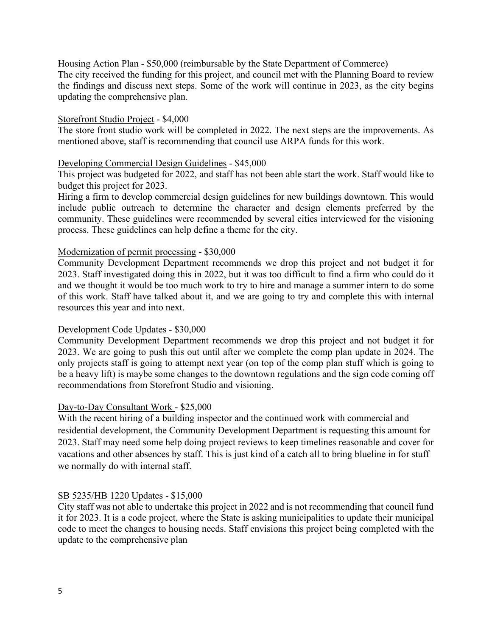Housing Action Plan - \$50,000 (reimbursable by the State Department of Commerce) The city received the funding for this project, and council met with the Planning Board to review the findings and discuss next steps. Some of the work will continue in 2023, as the city begins updating the comprehensive plan.

#### Storefront Studio Project - \$4,000

The store front studio work will be completed in 2022. The next steps are the improvements. As mentioned above, staff is recommending that council use ARPA funds for this work.

#### Developing Commercial Design Guidelines - \$45,000

This project was budgeted for 2022, and staff has not been able start the work. Staff would like to budget this project for 2023.

Hiring a firm to develop commercial design guidelines for new buildings downtown. This would include public outreach to determine the character and design elements preferred by the community. These guidelines were recommended by several cities interviewed for the visioning process. These guidelines can help define a theme for the city.

#### Modernization of permit processing - \$30,000

Community Development Department recommends we drop this project and not budget it for 2023. Staff investigated doing this in 2022, but it was too difficult to find a firm who could do it and we thought it would be too much work to try to hire and manage a summer intern to do some of this work. Staff have talked about it, and we are going to try and complete this with internal resources this year and into next.

### Development Code Updates - \$30,000

Community Development Department recommends we drop this project and not budget it for 2023. We are going to push this out until after we complete the comp plan update in 2024. The only projects staff is going to attempt next year (on top of the comp plan stuff which is going to be a heavy lift) is maybe some changes to the downtown regulations and the sign code coming off recommendations from Storefront Studio and visioning.

#### Day-to-Day Consultant Work - \$25,000

With the recent hiring of a building inspector and the continued work with commercial and residential development, the Community Development Department is requesting this amount for 2023. Staff may need some help doing project reviews to keep timelines reasonable and cover for vacations and other absences by staff. This is just kind of a catch all to bring blueline in for stuff we normally do with internal staff.

### SB 5235/HB 1220 Updates - \$15,000

City staff was not able to undertake this project in 2022 and is not recommending that council fund it for 2023. It is a code project, where the State is asking municipalities to update their municipal code to meet the changes to housing needs. Staff envisions this project being completed with the update to the comprehensive plan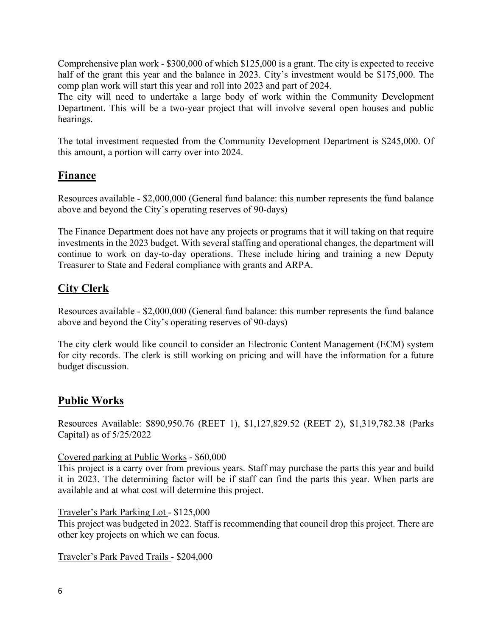Comprehensive plan work - \$300,000 of which \$125,000 is a grant. The city is expected to receive half of the grant this year and the balance in 2023. City's investment would be \$175,000. The comp plan work will start this year and roll into 2023 and part of 2024.

The city will need to undertake a large body of work within the Community Development Department. This will be a two-year project that will involve several open houses and public hearings.

The total investment requested from the Community Development Department is \$245,000. Of this amount, a portion will carry over into 2024.

## **Finance**

Resources available - \$2,000,000 (General fund balance: this number represents the fund balance above and beyond the City's operating reserves of 90-days)

The Finance Department does not have any projects or programs that it will taking on that require investments in the 2023 budget. With several staffing and operational changes, the department will continue to work on day-to-day operations. These include hiring and training a new Deputy Treasurer to State and Federal compliance with grants and ARPA.

# **City Clerk**

Resources available - \$2,000,000 (General fund balance: this number represents the fund balance above and beyond the City's operating reserves of 90-days)

The city clerk would like council to consider an Electronic Content Management (ECM) system for city records. The clerk is still working on pricing and will have the information for a future budget discussion.

### **Public Works**

Resources Available: \$890,950.76 (REET 1), \$1,127,829.52 (REET 2), \$1,319,782.38 (Parks Capital) as of 5/25/2022

### Covered parking at Public Works - \$60,000

This project is a carry over from previous years. Staff may purchase the parts this year and build it in 2023. The determining factor will be if staff can find the parts this year. When parts are available and at what cost will determine this project.

### Traveler's Park Parking Lot - \$125,000

This project was budgeted in 2022. Staff is recommending that council drop this project. There are other key projects on which we can focus.

Traveler's Park Paved Trails - \$204,000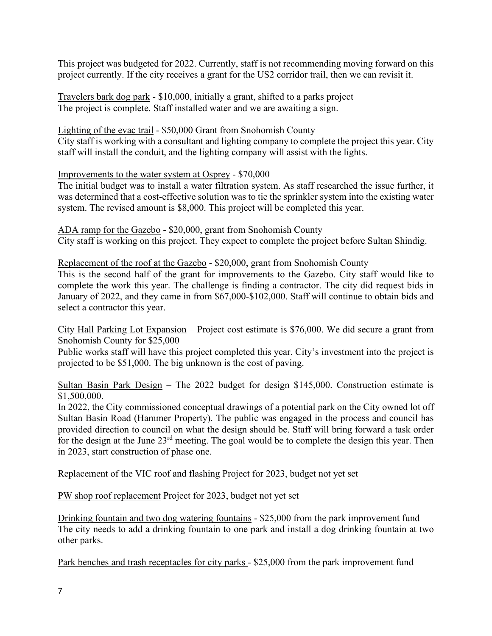This project was budgeted for 2022. Currently, staff is not recommending moving forward on this project currently. If the city receives a grant for the US2 corridor trail, then we can revisit it.

Travelers bark dog park - \$10,000, initially a grant, shifted to a parks project The project is complete. Staff installed water and we are awaiting a sign.

Lighting of the evac trail - \$50,000 Grant from Snohomish County

City staff is working with a consultant and lighting company to complete the project this year. City staff will install the conduit, and the lighting company will assist with the lights.

Improvements to the water system at Osprey - \$70,000

The initial budget was to install a water filtration system. As staff researched the issue further, it was determined that a cost-effective solution was to tie the sprinkler system into the existing water system. The revised amount is \$8,000. This project will be completed this year.

ADA ramp for the Gazebo - \$20,000, grant from Snohomish County City staff is working on this project. They expect to complete the project before Sultan Shindig.

Replacement of the roof at the Gazebo - \$20,000, grant from Snohomish County

This is the second half of the grant for improvements to the Gazebo. City staff would like to complete the work this year. The challenge is finding a contractor. The city did request bids in January of 2022, and they came in from \$67,000-\$102,000. Staff will continue to obtain bids and select a contractor this year.

City Hall Parking Lot Expansion – Project cost estimate is \$76,000. We did secure a grant from Snohomish County for \$25,000

Public works staff will have this project completed this year. City's investment into the project is projected to be \$51,000. The big unknown is the cost of paving.

Sultan Basin Park Design – The 2022 budget for design \$145,000. Construction estimate is \$1,500,000.

In 2022, the City commissioned conceptual drawings of a potential park on the City owned lot off Sultan Basin Road (Hammer Property). The public was engaged in the process and council has provided direction to council on what the design should be. Staff will bring forward a task order for the design at the June 23rd meeting. The goal would be to complete the design this year. Then in 2023, start construction of phase one.

Replacement of the VIC roof and flashing Project for 2023, budget not yet set

PW shop roof replacement Project for 2023, budget not yet set

Drinking fountain and two dog watering fountains - \$25,000 from the park improvement fund The city needs to add a drinking fountain to one park and install a dog drinking fountain at two other parks.

Park benches and trash receptacles for city parks - \$25,000 from the park improvement fund